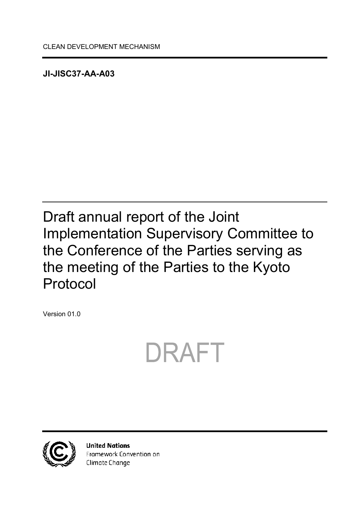<span id="page-0-0"></span>**JI-JISC37-AA-A03**

# <span id="page-0-1"></span>Draft annual report of the Joint Implementation Supervisory Committee to the Conference of the Parties serving as the meeting of the Parties to the Kyoto Protocol

<span id="page-0-2"></span>Version 01.0





**United Nations** Framework Convention on Climate Change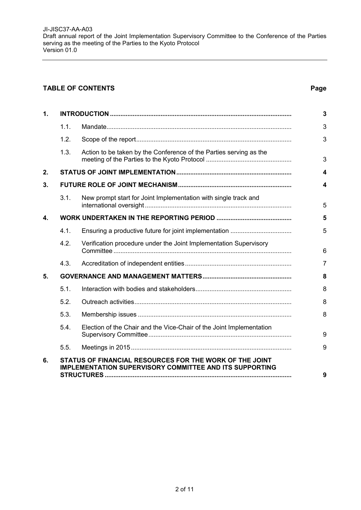#### **TABLE OF CONTENTS Page**

| $\mathbf 1$ . |      |                                                                      | 3                |
|---------------|------|----------------------------------------------------------------------|------------------|
|               | 1.1. |                                                                      | 3                |
|               | 1.2. |                                                                      | 3                |
|               | 1.3. | Action to be taken by the Conference of the Parties serving as the   | 3                |
| 2.            |      |                                                                      | 4                |
| 3.            |      |                                                                      | $\boldsymbol{4}$ |
|               | 3.1. | New prompt start for Joint Implementation with single track and      | 5                |
| 4.            |      |                                                                      | 5                |
|               | 4.1. |                                                                      | 5                |
|               | 4.2. | Verification procedure under the Joint Implementation Supervisory    | $6\phantom{1}6$  |
|               | 4.3. |                                                                      | $\overline{7}$   |
| 5.            |      |                                                                      | 8                |
|               | 5.1. |                                                                      | 8                |
|               | 5.2. |                                                                      | 8                |
|               | 5.3. |                                                                      | 8                |
|               | 5.4. | Election of the Chair and the Vice-Chair of the Joint Implementation | 9                |
|               | 5.5. |                                                                      | 9                |
| 6.            |      | STATUS OF FINANCIAL RESOURCES FOR THE WORK OF THE JOINT              |                  |
|               |      | <b>IMPLEMENTATION SUPERVISORY COMMITTEE AND ITS SUPPORTING</b>       | 9                |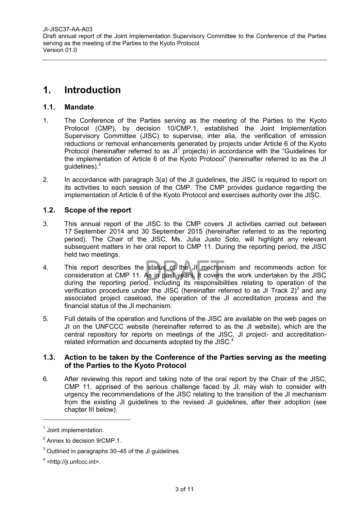# <span id="page-2-0"></span>**1. Introduction**

#### <span id="page-2-1"></span>**1.1. Mandate**

- 1. The Conference of the Parties serving as the meeting of the Parties to the Kyoto Protocol (CMP), by decision 10/CMP.1, established the Joint Implementation Supervisory Committee (JISC) to supervise, inter alia, the verification of emission reductions or removal enhancements generated by projects under Article 6 of the Kyoto Protocol (hereinafter referred to as JI $<sup>1</sup>$  projects) in accordance with the "Guidelines for</sup> the implementation of Article 6 of the Kyoto Protocol" (hereinafter referred to as the JI guidelines).<sup>2</sup>
- 2. In accordance with paragraph 3(a) of the JI guidelines, the JISC is required to report on its activities to each session of the CMP. The CMP provides guidance regarding the implementation of Article 6 of the Kyoto Protocol and exercises authority over the JISC.

#### <span id="page-2-2"></span>**1.2. Scope of the report**

- 3. This annual report of the JISC to the CMP covers JI activities carried out between 17 September 2014 and 30 September 2015 (hereinafter referred to as the reporting period). The Chair of the JISC, Ms. Julia Justo Soto, will highlight any relevant subsequent matters in her oral report to CMP 11. During the reporting period, the JISC held two meetings.
- 4. This report describes the status of the JI mechanism and recommends action for consideration at CMP 11. As in past years, it covers the work undertaken by the JISC during the reporting period, including its responsibilities relating to operation of the verification procedure under the JISC (hereinafter referred to as JI Track 2)<sup>3</sup> and any associated project caseload, the operation of the JI accreditation process and the financial status of the JI mechanism.
- 5. Full details of the operation and functions of the JISC are available on the web pages on JI on the UNFCCC website (hereinafter referred to as the JI website), which are the central repository for reports on meetings of the JISC, JI project- and accreditationrelated information and documents adopted by the JISC.<sup>4</sup>

#### <span id="page-2-3"></span>**1.3. Action to be taken by the Conference of the Parties serving as the meeting of the Parties to the Kyoto Protocol**

6. After reviewing this report and taking note of the oral report by the Chair of the JISC, CMP 11, apprised of the serious challenge faced by JI, may wish to consider with urgency the recommendations of the JISC relating to the transition of the JI mechanism from the existing JI guidelines to the revised JI guidelines, after their adoption (see chapter III below).

<sup>&</sup>lt;sup>1</sup> Joint implementation.

 $2$  Annex to decision 9/CMP.1.

 $3$  Outlined in paragraphs 30–45 of the JI guidelines.

<sup>&</sup>lt;sup>4</sup> <http://ji.unfccc.int>.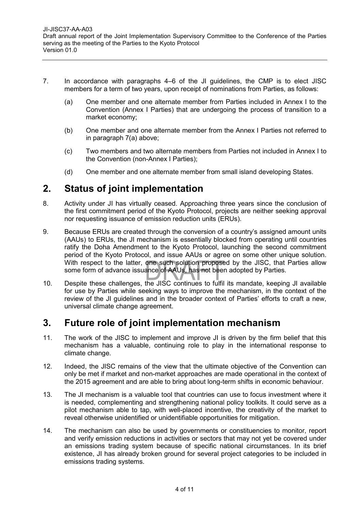- 7. In accordance with paragraphs 4–6 of the JI guidelines, the CMP is to elect JISC members for a term of two years, upon receipt of nominations from Parties, as follows:
	- (a) One member and one alternate member from Parties included in Annex I to the Convention (Annex I Parties) that are undergoing the process of transition to a market economy;
	- (b) One member and one alternate member from the Annex I Parties not referred to in paragraph 7(a) above;
	- (c) Two members and two alternate members from Parties not included in Annex I to the Convention (non-Annex I Parties);
	- (d) One member and one alternate member from small island developing States.

# <span id="page-3-0"></span>**2. Status of joint implementation**

- 8. Activity under JI has virtually ceased. Approaching three years since the conclusion of the first commitment period of the Kyoto Protocol, projects are neither seeking approval nor requesting issuance of emission reduction units (ERUs).
- 9. Because ERUs are created through the conversion of a country's assigned amount units (AAUs) to ERUs, the JI mechanism is essentially blocked from operating until countries ratify the Doha Amendment to the Kyoto Protocol, launching the second commitment period of the Kyoto Protocol, and issue AAUs or agree on some other unique solution. With respect to the latter, one such solution proposed by the JISC, that Parties allow some form of advance issuance of AAUs, has not been adopted by Parties.
- 10. Despite these challenges, the JISC continues to fulfil its mandate, keeping JI available for use by Parties while seeking ways to improve the mechanism, in the context of the review of the JI guidelines and in the broader context of Parties' efforts to craft a new, universal climate change agreement.

# <span id="page-3-1"></span>**3. Future role of joint implementation mechanism**

- 11. The work of the JISC to implement and improve JI is driven by the firm belief that this mechanism has a valuable, continuing role to play in the international response to climate change.
- 12. Indeed, the JISC remains of the view that the ultimate objective of the Convention can only be met if market and non-market approaches are made operational in the context of the 2015 agreement and are able to bring about long-term shifts in economic behaviour.
- 13. The JI mechanism is a valuable tool that countries can use to focus investment where it is needed, complementing and strengthening national policy toolkits. It could serve as a pilot mechanism able to tap, with well-placed incentive, the creativity of the market to reveal otherwise unidentified or unidentifiable opportunities for mitigation.
- 14. The mechanism can also be used by governments or constituencies to monitor, report and verify emission reductions in activities or sectors that may not yet be covered under an emissions trading system because of specific national circumstances. In its brief existence, JI has already broken ground for several project categories to be included in emissions trading systems.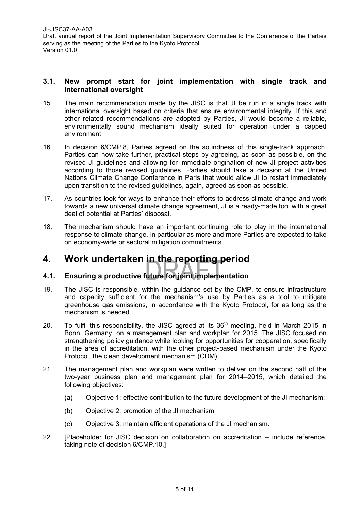#### <span id="page-4-0"></span>**3.1. New prompt start for joint implementation with single track and international oversight**

- 15. The main recommendation made by the JISC is that JI be run in a single track with international oversight based on criteria that ensure environmental integrity. If this and other related recommendations are adopted by Parties, JI would become a reliable, environmentally sound mechanism ideally suited for operation under a capped environment.
- 16. In decision 6/CMP.8, Parties agreed on the soundness of this single-track approach. Parties can now take further, practical steps by agreeing, as soon as possible, on the revised JI guidelines and allowing for immediate origination of new JI project activities according to those revised guidelines. Parties should take a decision at the United Nations Climate Change Conference in Paris that would allow JI to restart immediately upon transition to the revised guidelines, again, agreed as soon as possible.
- 17. As countries look for ways to enhance their efforts to address climate change and work towards a new universal climate change agreement, JI is a ready-made tool with a great deal of potential at Parties' disposal.
- 18. The mechanism should have an important continuing role to play in the international response to climate change, in particular as more and more Parties are expected to take on economy-wide or sectoral mitigation commitments.

# <span id="page-4-1"></span>**4. Work undertaken in the reporting period**

### <span id="page-4-2"></span>**4.1. Ensuring a productive future for joint implementation**

- 19. The JISC is responsible, within the guidance set by the CMP, to ensure infrastructure and capacity sufficient for the mechanism's use by Parties as a tool to mitigate greenhouse gas emissions, in accordance with the Kyoto Protocol, for as long as the mechanism is needed.
- 20. To fulfil this responsibility, the JISC agreed at its  $36<sup>th</sup>$  meeting, held in March 2015 in Bonn, Germany, on a management plan and workplan for 2015. The JISC focused on strengthening policy guidance while looking for opportunities for cooperation, specifically in the area of accreditation, with the other project-based mechanism under the Kyoto Protocol, the clean development mechanism (CDM).
- 21. The management plan and workplan were written to deliver on the second half of the two-year business plan and management plan for 2014–2015, which detailed the following objectives:
	- (a) Objective 1: effective contribution to the future development of the JI mechanism;
	- (b) Objective 2: promotion of the JI mechanism;
	- (c) Objective 3: maintain efficient operations of the JI mechanism.
- 22. [Placeholder for JISC decision on collaboration on accreditation include reference, taking note of decision 6/CMP.10.]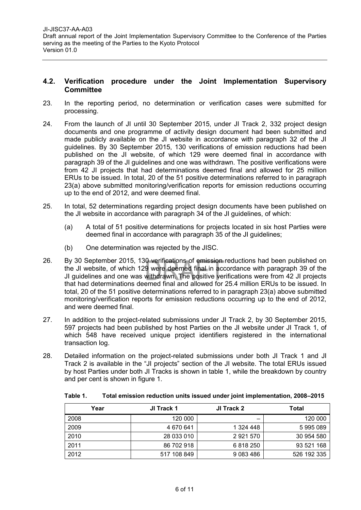#### <span id="page-5-0"></span>**4.2. Verification procedure under the Joint Implementation Supervisory Committee**

- 23. In the reporting period, no determination or verification cases were submitted for processing.
- 24. From the launch of JI until 30 September 2015, under JI Track 2, 332 project design documents and one programme of activity design document had been submitted and made publicly available on the JI website in accordance with paragraph 32 of the JI guidelines. By 30 September 2015, 130 verifications of emission reductions had been published on the JI website, of which 129 were deemed final in accordance with paragraph 39 of the JI guidelines and one was withdrawn. The positive verifications were from 42 JI projects that had determinations deemed final and allowed for 25 million ERUs to be issued. In total, 20 of the 51 positive determinations referred to in paragraph 23(a) above submitted monitoring/verification reports for emission reductions occurring up to the end of 2012, and were deemed final.
- 25. In total, 52 determinations regarding project design documents have been published on the JI website in accordance with paragraph 34 of the JI guidelines, of which:
	- (a) A total of 51 positive determinations for projects located in six host Parties were deemed final in accordance with paragraph 35 of the JI guidelines;
	- (b) One determination was rejected by the JISC.
- 26. By 30 September 2015, 130 verifications of emission reductions had been published on the JI website, of which 129 were deemed final in accordance with paragraph 39 of the JI guidelines and one was withdrawn. The positive verifications were from 42 JI projects that had determinations deemed final and allowed for 25.4 million ERUs to be issued. In total, 20 of the 51 positive determinations referred to in paragraph 23(a) above submitted monitoring/verification reports for emission reductions occurring up to the end of 2012, and were deemed final.
- 27. In addition to the project-related submissions under JI Track 2, by 30 September 2015, 597 projects had been published by host Parties on the JI website under JI Track 1, of which 548 have received unique project identifiers registered in the international transaction log.
- 28. Detailed information on the project-related submissions under both JI Track 1 and JI Track 2 is available in the "JI projects" section of the JI website. The total ERUs issued by host Parties under both JI Tracks is shown in table 1, while the breakdown by country and per cent is shown in figure 1.

| Year | JI Track 1  | JI Track 2    | Total       |
|------|-------------|---------------|-------------|
| 2008 | 120 000     |               | 120 000     |
| 2009 | 4 670 641   | 1 324 448     | 5995089     |
| 2010 | 28 033 010  | 2921570       | 30 954 580  |
| 2011 | 86 702 918  | 6818250       | 93 521 168  |
| 2012 | 517 108 849 | 9 0 8 3 4 8 6 | 526 192 335 |

**Table 1. Total emission reduction units issued under joint implementation, 2008–2015**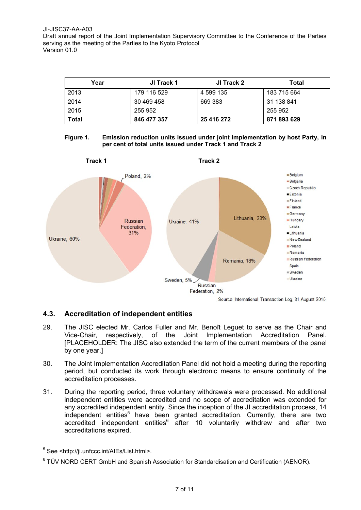| Year  | JI Track 1  | JI Track 2 | Total       |
|-------|-------------|------------|-------------|
| 2013  | 179 116 529 | 4 599 135  | 183 715 664 |
| 2014  | 30 469 458  | 669 383    | 31 138 841  |
| 2015  | 255 952     |            | 255 952     |
| Total | 846 477 357 | 25 416 272 | 871 893 629 |

#### **Figure 1. Emission reduction units issued under joint implementation by host Party, in per cent of total units issued under Track 1 and Track 2**



#### <span id="page-6-0"></span>**4.3. Accreditation of independent entities**

- 29. The JISC elected Mr. Carlos Fuller and Mr. Benoît Leguet to serve as the Chair and Vice-Chair, respectively, of the Joint Implementation Accreditation Panel. [PLACEHOLDER: The JISC also extended the term of the current members of the panel by one year.]
- 30. The Joint Implementation Accreditation Panel did not hold a meeting during the reporting period, but conducted its work through electronic means to ensure continuity of the accreditation processes.
- 31. During the reporting period, three voluntary withdrawals were processed. No additional independent entities were accredited and no scope of accreditation was extended for any accredited independent entity. Since the inception of the JI accreditation process, 14 independent entities<sup>5</sup> have been granted accreditation. Currently, there are two accredited independent entities $6\overline{a}$  after 10 voluntarily withdrew and after two accreditations expired.

 $\overline{a}$ 

<sup>&</sup>lt;sup>5</sup> See <http://ji.unfccc.int/AIEs/List.html>.

 $6$  TÜV NORD CERT GmbH and Spanish Association for Standardisation and Certification (AENOR).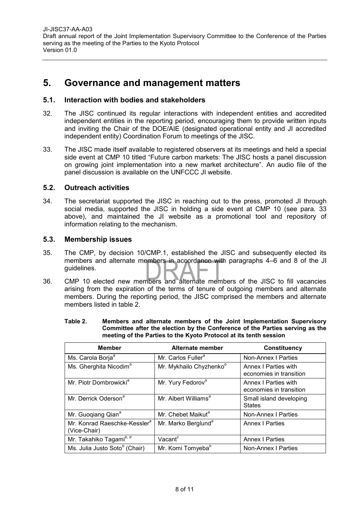[JI-JISC37-AA-A03](#page-0-0) [Draft annual report of the Joint Implementation Supervisory Committee to the Conference of the Parties](#page-0-1)  [serving as the meeting of the Parties to the Kyoto](#page-0-1) Protocol [Version](#page-0-2) [01.0](#page-0-2)

## <span id="page-7-0"></span>**5. Governance and management matters**

#### <span id="page-7-1"></span>**5.1. Interaction with bodies and stakeholders**

- 32. The JISC continued its regular interactions with independent entities and accredited independent entities in the reporting period, encouraging them to provide written inputs and inviting the Chair of the DOE/AIE (designated operational entity and JI accredited independent entity) Coordination Forum to meetings of the JISC.
- 33. The JISC made itself available to registered observers at its meetings and held a special side event at CMP 10 titled "Future carbon markets: The JISC hosts a panel discussion on growing joint implementation into a new market architecture". An audio file of the panel discussion is available on the UNFCCC JI website.

#### <span id="page-7-2"></span>**5.2. Outreach activities**

34. The secretariat supported the JISC in reaching out to the press, promoted JI through social media, supported the JISC in holding a side event at CMP 10 (see para. 33 above), and maintained the JI website as a promotional tool and repository of information relating to the mechanism.

#### <span id="page-7-3"></span>**5.3. Membership issues**

- 35. The CMP, by decision 10/CMP.1, established the JISC and subsequently elected its members and alternate members in accordance with paragraphs 4–6 and 8 of the JI guidelines.
- 36. CMP 10 elected new members and alternate members of the JISC to fill vacancies arising from the expiration of the terms of tenure of outgoing members and alternate members. During the reporting period, the JISC comprised the members and alternate members listed in table 2.

| Table 2. | Members and alternate members of the Joint Implementation Supervisory        |
|----------|------------------------------------------------------------------------------|
|          | Committee after the election by the Conference of the Parties serving as the |
|          | meeting of the Parties to the Kyoto Protocol at its tenth session            |

| <b>Member</b>                                            | Alternate member                    | Constituency                                    |
|----------------------------------------------------------|-------------------------------------|-------------------------------------------------|
| Ms. Carola Borja <sup>a</sup>                            | Mr. Carlos Fuller <sup>a</sup>      | Non-Annex   Parties                             |
| Ms. Gherghita Nicodim <sup>b</sup>                       | Mr. Mykhailo Chyzhenko <sup>b</sup> | Annex I Parties with<br>economies in transition |
| Mr. Piotr Dombrowicki <sup>a</sup>                       | Mr. Yury Fedorov <sup>a</sup>       | Annex I Parties with<br>economies in transition |
| Mr. Derrick Oderson <sup>a</sup>                         | Mr. Albert Williams <sup>a</sup>    | Small island developing<br><b>States</b>        |
| Mr. Guogiang Qian <sup>a</sup>                           | Mr. Chebet Maikut <sup>a</sup>      | Non-Annex I Parties                             |
| Mr. Konrad Raeschke-Kessler <sup>a</sup><br>(Vice-Chair) | Mr. Marko Berglund <sup>a</sup>     | <b>Annex I Parties</b>                          |
| Mr. Takahiko Tagamib, d                                  | Vacant <sup>c</sup>                 | <b>Annex I Parties</b>                          |
| Ms. Julia Justo Soto <sup>b</sup> (Chair)                | Mr. Komi Tomyeba <sup>b</sup>       | Non-Annex I Parties                             |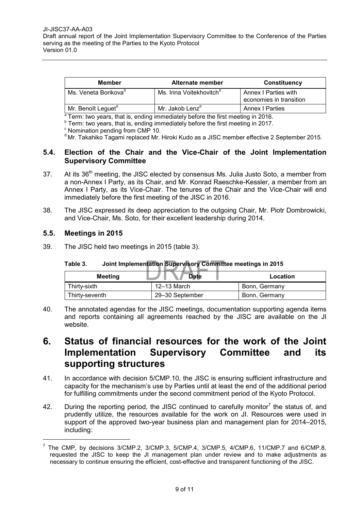| Member                           | Alternate member                     | <b>Constituency</b>                             |
|----------------------------------|--------------------------------------|-------------------------------------------------|
| Ms. Veneta Borikova <sup>o</sup> | Ms. Irina Voitekhovitch <sup>o</sup> | Annex I Parties with<br>economies in transition |
| Mr. Benoît Leguet <sup>o</sup>   | Mr. Jakob Lenz <sup>o</sup>          | <b>Annex I Parties</b>                          |

<sup>a</sup> Term: two years, that is, ending immediately before the first meeting in 2016.

**b** Term: two years, that is, ending immediately before the first meeting in 2017.

<sup>d</sup> Mr. Takahiko Tagami replaced Mr. Hiroki Kudo as a JISC member effective 2 September 2015.

#### <span id="page-8-0"></span>**5.4. Election of the Chair and the Vice-Chair of the Joint Implementation Supervisory Committee**

- 37. At its 36<sup>th</sup> meeting, the JISC elected by consensus Ms. Julia Justo Soto, a member from a non-Annex I Party, as its Chair, and Mr. Konrad Raeschke-Kessler, a member from an Annex I Party, as its Vice-Chair. The tenures of the Chair and the Vice-Chair will end immediately before the first meeting of the JISC in 2016.
- 38. The JISC expressed its deep appreciation to the outgoing Chair, Mr. Piotr Dombrowicki, and Vice-Chair, Ms. Soto, for their excellent leadership during 2014.

#### <span id="page-8-1"></span>**5.5. Meetings in 2015**

 $\overline{a}$ 

39. The JISC held two meetings in 2015 (table 3).

| <b>Meeting</b> | <b>Date</b>     | Location      |
|----------------|-----------------|---------------|
| Thirtv-sixth   | 12–13 March     | Bonn, Germany |
| Thirty-seventh | 29-30 September | Bonn, Germany |

**Table 3. Joint Implementation Supervisory Committee meetings in 2015**

40. The annotated agendas for the JISC meetings, documentation supporting agenda items and reports containing all agreements reached by the JISC are available on the JI website.

# <span id="page-8-2"></span>**6. Status of financial resources for the work of the Joint Implementation Supervisory Committee and its supporting structures**

- 41. In accordance with decision 5/CMP.10, the JISC is ensuring sufficient infrastructure and capacity for the mechanism's use by Parties until at least the end of the additional period for fulfilling commitments under the second commitment period of the Kyoto Protocol.
- 42. During the reporting period, the JISC continued to carefully monitor<sup>7</sup> the status of, and prudently utilize, the resources available for the work on JI. Resources were used in support of the approved two-year business plan and management plan for 2014–2015, including:

<sup>c</sup> Nomination pending from CMP 10.

<sup>7</sup> The CMP, by decisions 3/CMP.2, 3/CMP.3, 5/CMP.4, 3/CMP.5, 4/CMP.6, 11/CMP.7 and 6/CMP.8, requested the JISC to keep the JI management plan under review and to make adjustments as necessary to continue ensuring the efficient, cost-effective and transparent functioning of the JISC.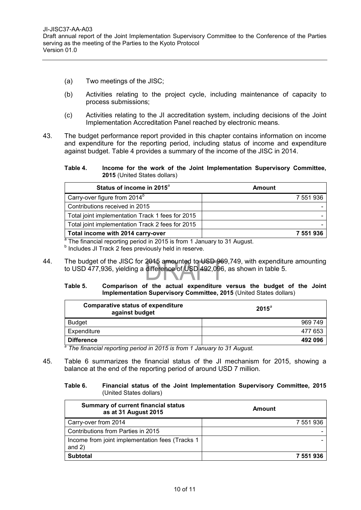- (a) Two meetings of the JISC;
- (b) Activities relating to the project cycle, including maintenance of capacity to process submissions;
- (c) Activities relating to the JI accreditation system, including decisions of the Joint Implementation Accreditation Panel reached by electronic means.
- 43. The budget performance report provided in this chapter contains information on income and expenditure for the reporting period, including status of income and expenditure against budget. Table 4 provides a summary of the income of the JISC in 2014.
	- **Table 4. Income for the work of the Joint Implementation Supervisory Committee, 2015** (United States dollars)

| Status of income in 2015 <sup>a</sup>            | Amount    |
|--------------------------------------------------|-----------|
| Carry-over figure from $2014b$                   | 7 551 936 |
| Contributions received in 2015                   |           |
| Total joint implementation Track 1 fees for 2015 |           |
| Total joint implementation Track 2 fees for 2015 |           |
| Total income with 2014 carry-over                | 7 551 936 |

<sup>a</sup> The financial reporting period in 2015 is from 1 January to 31 August.

<sup>b</sup> Includes JI Track 2 fees previously held in reserve.

44. The budget of the JISC for 2015 amounted to USD 969,749, with expenditure amounting to USD 477,936, yielding a difference of USD 492,096, as shown in table 5.

#### **Table 5. Comparison of the actual expenditure versus the budget of the Joint Implementation Supervisory Committee, 2015** (United States dollars)

| <b>Comparative status of expenditure</b><br>against budget | $2015^{\circ}$ |
|------------------------------------------------------------|----------------|
| <b>Budget</b>                                              | 969 749        |
| Expenditure                                                | 477 653        |
| <b>Difference</b>                                          | 492 096        |

*<sup>a</sup> The financial reporting period in 2015 is from 1 January to 31 August.*

45. Table 6 summarizes the financial status of the JI mechanism for 2015, showing a balance at the end of the reporting period of around USD 7 million.

#### **Table 6. Financial status of the Joint Implementation Supervisory Committee, 2015** (United States dollars)

| <b>Summary of current financial status</b><br>as at 31 August 2015 | Amount    |
|--------------------------------------------------------------------|-----------|
| Carry-over from 2014                                               | 7 551 936 |
| Contributions from Parties in 2015                                 |           |
| Income from joint implementation fees (Tracks 1)<br>and $2)$       |           |
| <b>Subtotal</b>                                                    | 7 551 936 |